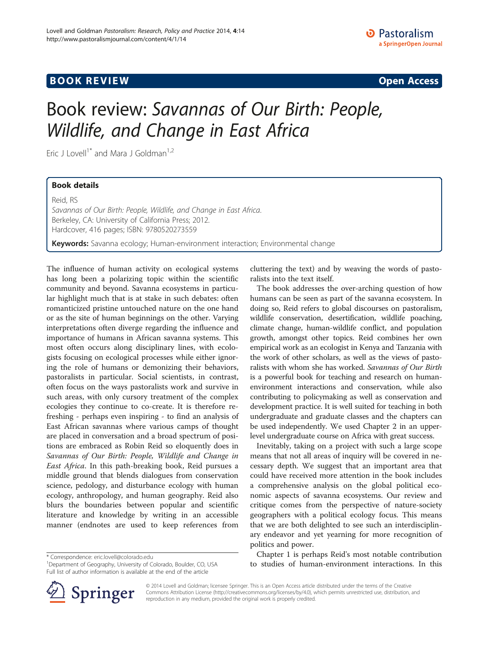## **BOOK REVIEW CONTROL** BOOK REVIEW

# Book review: Savannas of Our Birth: People, Wildlife, and Change in East Africa

Eric J Lovell<sup>1\*</sup> and Mara J Goldman<sup>1,2</sup>

## Book details

Reid, RS

Savannas of Our Birth: People, Wildlife, and Change in East Africa. Berkeley, CA: University of California Press; 2012. Hardcover, 416 pages; ISBN: 9780520273559

Keywords: Savanna ecology; Human-environment interaction; Environmental change

The influence of human activity on ecological systems has long been a polarizing topic within the scientific community and beyond. Savanna ecosystems in particular highlight much that is at stake in such debates: often romanticized pristine untouched nature on the one hand or as the site of human beginnings on the other. Varying interpretations often diverge regarding the influence and importance of humans in African savanna systems. This most often occurs along disciplinary lines, with ecologists focusing on ecological processes while either ignoring the role of humans or demonizing their behaviors, pastoralists in particular. Social scientists, in contrast, often focus on the ways pastoralists work and survive in such areas, with only cursory treatment of the complex ecologies they continue to co-create. It is therefore refreshing - perhaps even inspiring - to find an analysis of East African savannas where various camps of thought are placed in conversation and a broad spectrum of positions are embraced as Robin Reid so eloquently does in Savannas of Our Birth: People, Wildlife and Change in East Africa. In this path-breaking book, Reid pursues a middle ground that blends dialogues from conservation science, pedology, and disturbance ecology with human ecology, anthropology, and human geography. Reid also blurs the boundaries between popular and scientific literature and knowledge by writing in an accessible manner (endnotes are used to keep references from

\* Correspondence: [eric.lovell@colorado.edu](mailto:eric.lovell@colorado.edu) <sup>1</sup>

<sup>1</sup>Department of Geography, University of Colorado, Boulder, CO, USA Full list of author information is available at the end of the article



The book addresses the over-arching question of how humans can be seen as part of the savanna ecosystem. In doing so, Reid refers to global discourses on pastoralism, wildlife conservation, desertification, wildlife poaching, climate change, human-wildlife conflict, and population growth, amongst other topics. Reid combines her own empirical work as an ecologist in Kenya and Tanzania with the work of other scholars, as well as the views of pastoralists with whom she has worked. Savannas of Our Birth is a powerful book for teaching and research on humanenvironment interactions and conservation, while also contributing to policymaking as well as conservation and development practice. It is well suited for teaching in both undergraduate and graduate classes and the chapters can be used independently. We used Chapter 2 in an upperlevel undergraduate course on Africa with great success.

Inevitably, taking on a project with such a large scope means that not all areas of inquiry will be covered in necessary depth. We suggest that an important area that could have received more attention in the book includes a comprehensive analysis on the global political economic aspects of savanna ecosystems. Our review and critique comes from the perspective of nature-society geographers with a political ecology focus. This means that we are both delighted to see such an interdisciplinary endeavor and yet yearning for more recognition of politics and power.

Chapter 1 is perhaps Reid's most notable contribution to studies of human-environment interactions. In this



© 2014 Lovell and Goldman; licensee Springer. This is an Open Access article distributed under the terms of the Creative Commons Attribution License (<http://creativecommons.org/licenses/by/4.0>), which permits unrestricted use, distribution, and reproduction in any medium, provided the original work is properly credited.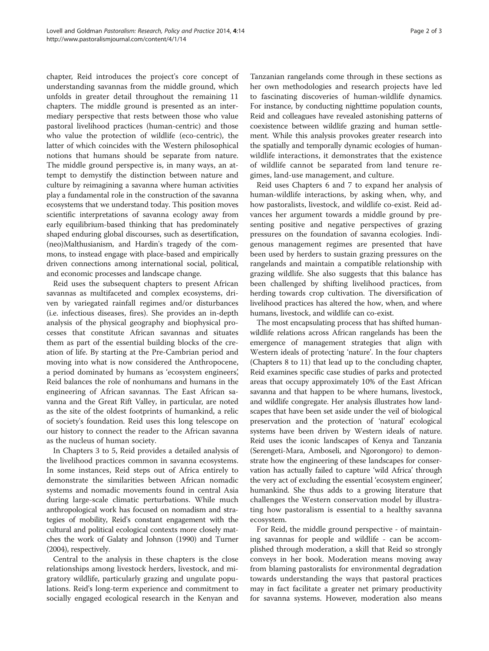chapter, Reid introduces the project's core concept of understanding savannas from the middle ground, which unfolds in greater detail throughout the remaining 11 chapters. The middle ground is presented as an intermediary perspective that rests between those who value pastoral livelihood practices (human-centric) and those who value the protection of wildlife (eco-centric), the latter of which coincides with the Western philosophical notions that humans should be separate from nature. The middle ground perspective is, in many ways, an attempt to demystify the distinction between nature and culture by reimagining a savanna where human activities play a fundamental role in the construction of the savanna ecosystems that we understand today. This position moves scientific interpretations of savanna ecology away from early equilibrium-based thinking that has predominately shaped enduring global discourses, such as desertification, (neo)Malthusianism, and Hardin's tragedy of the commons, to instead engage with place-based and empirically driven connections among international social, political, and economic processes and landscape change.

Reid uses the subsequent chapters to present African savannas as multifaceted and complex ecosystems, driven by variegated rainfall regimes and/or disturbances (i.e. infectious diseases, fires). She provides an in-depth analysis of the physical geography and biophysical processes that constitute African savannas and situates them as part of the essential building blocks of the creation of life. By starting at the Pre-Cambrian period and moving into what is now considered the Anthropocene, a period dominated by humans as 'ecosystem engineers', Reid balances the role of nonhumans and humans in the engineering of African savannas. The East African savanna and the Great Rift Valley, in particular, are noted as the site of the oldest footprints of humankind, a relic of society's foundation. Reid uses this long telescope on our history to connect the reader to the African savanna as the nucleus of human society.

In Chapters 3 to 5, Reid provides a detailed analysis of the livelihood practices common in savanna ecosystems. In some instances, Reid steps out of Africa entirely to demonstrate the similarities between African nomadic systems and nomadic movements found in central Asia during large-scale climatic perturbations. While much anthropological work has focused on nomadism and strategies of mobility, Reid's constant engagement with the cultural and political ecological contexts more closely matches the work of Galaty and Johnson [\(1990\)](#page-2-0) and Turner ([2004\)](#page-2-0), respectively.

Central to the analysis in these chapters is the close relationships among livestock herders, livestock, and migratory wildlife, particularly grazing and ungulate populations. Reid's long-term experience and commitment to socially engaged ecological research in the Kenyan and

Tanzanian rangelands come through in these sections as her own methodologies and research projects have led to fascinating discoveries of human-wildlife dynamics. For instance, by conducting nighttime population counts, Reid and colleagues have revealed astonishing patterns of coexistence between wildlife grazing and human settlement. While this analysis provokes greater research into the spatially and temporally dynamic ecologies of humanwildlife interactions, it demonstrates that the existence of wildlife cannot be separated from land tenure regimes, land-use management, and culture.

Reid uses Chapters 6 and 7 to expand her analysis of human-wildlife interactions, by asking when, why, and how pastoralists, livestock, and wildlife co-exist. Reid advances her argument towards a middle ground by presenting positive and negative perspectives of grazing pressures on the foundation of savanna ecologies. Indigenous management regimes are presented that have been used by herders to sustain grazing pressures on the rangelands and maintain a compatible relationship with grazing wildlife. She also suggests that this balance has been challenged by shifting livelihood practices, from herding towards crop cultivation. The diversification of livelihood practices has altered the how, when, and where humans, livestock, and wildlife can co-exist.

The most encapsulating process that has shifted humanwildlife relations across African rangelands has been the emergence of management strategies that align with Western ideals of protecting 'nature'. In the four chapters (Chapters 8 to 11) that lead up to the concluding chapter, Reid examines specific case studies of parks and protected areas that occupy approximately 10% of the East African savanna and that happen to be where humans, livestock, and wildlife congregate. Her analysis illustrates how landscapes that have been set aside under the veil of biological preservation and the protection of 'natural' ecological systems have been driven by Western ideals of nature. Reid uses the iconic landscapes of Kenya and Tanzania (Serengeti-Mara, Amboseli, and Ngorongoro) to demonstrate how the engineering of these landscapes for conservation has actually failed to capture 'wild Africa' through the very act of excluding the essential 'ecosystem engineer', humankind. She thus adds to a growing literature that challenges the Western conservation model by illustrating how pastoralism is essential to a healthy savanna ecosystem.

For Reid, the middle ground perspective - of maintaining savannas for people and wildlife - can be accomplished through moderation, a skill that Reid so strongly conveys in her book. Moderation means moving away from blaming pastoralists for environmental degradation towards understanding the ways that pastoral practices may in fact facilitate a greater net primary productivity for savanna systems. However, moderation also means